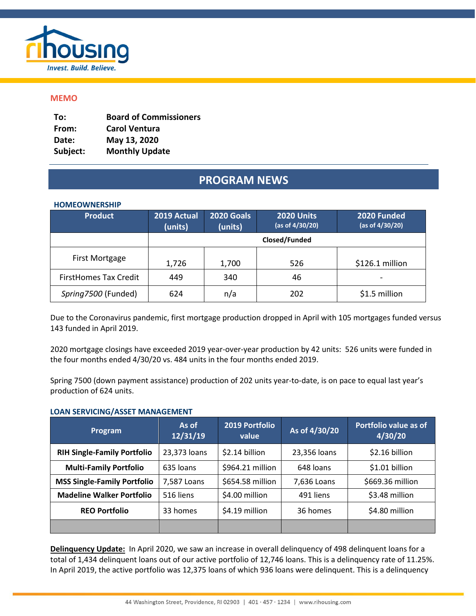

# **MEMO**

| To:      | <b>Board of Commissioners</b> |
|----------|-------------------------------|
| From:    | <b>Carol Ventura</b>          |
| Date:    | May 13, 2020                  |
| Subject: | <b>Monthly Update</b>         |

# **PROGRAM NEWS**

# **HOMEOWNERSHIP**

| <b>Product</b>               | 2019 Actual<br>(units) | 2020 Goals<br>(units) | <b>2020 Units</b><br>(as of 4/30/20) | 2020 Funded<br>(as of 4/30/20) |
|------------------------------|------------------------|-----------------------|--------------------------------------|--------------------------------|
|                              |                        |                       | Closed/Funded                        |                                |
| First Mortgage               | 1,726                  | 1,700                 | 526                                  | \$126.1 million                |
| <b>FirstHomes Tax Credit</b> | 449                    | 340                   | 46                                   |                                |
| Spring7500 (Funded)          | 624                    | n/a                   | 202                                  | \$1.5 million                  |

Due to the Coronavirus pandemic, first mortgage production dropped in April with 105 mortgages funded versus 143 funded in April 2019.

2020 mortgage closings have exceeded 2019 year-over-year production by 42 units: 526 units were funded in the four months ended 4/30/20 vs. 484 units in the four months ended 2019.

Spring 7500 (down payment assistance) production of 202 units year-to-date, is on pace to equal last year's production of 624 units.

#### **LOAN SERVICING/ASSET MANAGEMENT**

| Program                            | As of<br>12/31/19 | 2019 Portfolio<br>value | As of 4/30/20 | Portfolio value as of<br>4/30/20 |
|------------------------------------|-------------------|-------------------------|---------------|----------------------------------|
| <b>RIH Single-Family Portfolio</b> | 23,373 loans      | \$2.14 billion          | 23,356 loans  | \$2.16 billion                   |
| <b>Multi-Family Portfolio</b>      | 635 loans         | \$964.21 million        | 648 loans     | \$1.01 billion                   |
| <b>MSS Single-Family Portfolio</b> | 7,587 Loans       | \$654.58 million        | 7,636 Loans   | \$669.36 million                 |
| <b>Madeline Walker Portfolio</b>   | 516 liens         | \$4.00 million          | 491 liens     | \$3.48 million                   |
| <b>REO Portfolio</b>               | 33 homes          | \$4.19 million          | 36 homes      | \$4.80 million                   |
|                                    |                   |                         |               |                                  |

**Delinquency Update:** In April 2020, we saw an increase in overall delinquency of 498 delinquent loans for a total of 1,434 delinquent loans out of our active portfolio of 12,746 loans. This is a delinquency rate of 11.25%. In April 2019, the active portfolio was 12,375 loans of which 936 loans were delinquent. This is a delinquency

 $\overline{a}$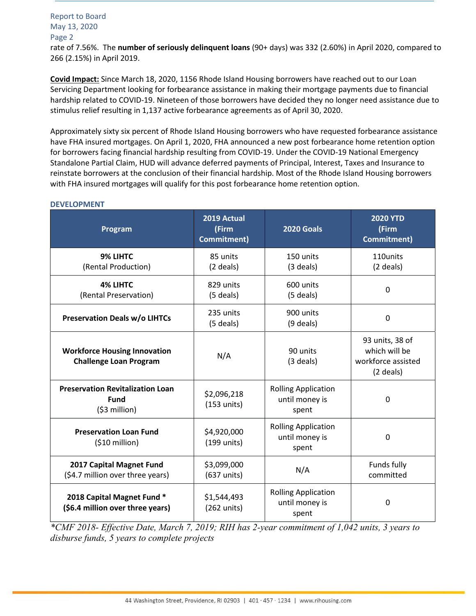Report to Board May 13, 2020 Page 2 rate of 7.56%. The **number of seriously delinquent loans** (90+ days) was 332 (2.60%) in April 2020, compared to 266 (2.15%) in April 2019.

**Covid Impact:** Since March 18, 2020, 1156 Rhode Island Housing borrowers have reached out to our Loan Servicing Department looking for forbearance assistance in making their mortgage payments due to financial hardship related to COVID-19. Nineteen of those borrowers have decided they no longer need assistance due to stimulus relief resulting in 1,137 active forbearance agreements as of April 30, 2020.

Approximately sixty six percent of Rhode Island Housing borrowers who have requested forbearance assistance have FHA insured mortgages. On April 1, 2020, FHA announced a new post forbearance home retention option for borrowers facing financial hardship resulting from COVID-19. Under the COVID-19 National Emergency Standalone Partial Claim, HUD will advance deferred payments of Principal, Interest, Taxes and Insurance to reinstate borrowers at the conclusion of their financial hardship. Most of the Rhode Island Housing borrowers with FHA insured mortgages will qualify for this post forbearance home retention option.

| Program                                                                  | 2019 Actual<br>(Firm<br>Commitment) | <b>2020 Goals</b>                                     | <b>2020 YTD</b><br>(Firm<br><b>Commitment)</b>                        |
|--------------------------------------------------------------------------|-------------------------------------|-------------------------------------------------------|-----------------------------------------------------------------------|
| 9% LIHTC<br>(Rental Production)                                          | 85 units<br>(2 deals)               | 150 units<br>$(3$ deals)                              | 110units<br>(2 deals)                                                 |
| <b>4% LIHTC</b><br>(Rental Preservation)                                 | 829 units<br>$(5$ deals)            | 600 units<br>$(5$ deals)                              | $\Omega$                                                              |
| <b>Preservation Deals w/o LIHTCs</b>                                     | 235 units<br>(5 deals)              | 900 units<br>$(9$ deals)                              | $\mathbf 0$                                                           |
| <b>Workforce Housing Innovation</b><br><b>Challenge Loan Program</b>     | N/A                                 | 90 units<br>$(3$ deals)                               | 93 units, 38 of<br>which will be<br>workforce assisted<br>$(2$ deals) |
| <b>Preservation Revitalization Loan</b><br><b>Fund</b><br>$(53$ million) | \$2,096,218<br>$(153$ units)        | <b>Rolling Application</b><br>until money is<br>spent | 0                                                                     |
| <b>Preservation Loan Fund</b><br>$(510$ million)                         | \$4,920,000<br>(199 units)          | <b>Rolling Application</b><br>until money is<br>spent | 0                                                                     |
| 2017 Capital Magnet Fund<br>(\$4.7 million over three years)             | \$3,099,000<br>(637 units)          | N/A                                                   | Funds fully<br>committed                                              |
| 2018 Capital Magnet Fund *<br>(\$6.4 million over three years)           | \$1,544,493<br>(262 units)          | <b>Rolling Application</b><br>until money is<br>spent | $\mathbf{0}$                                                          |

#### **DEVELOPMENT**

*\*CMF 2018- Effective Date, March 7, 2019; RIH has 2-year commitment of 1,042 units, 3 years to disburse funds, 5 years to complete projects*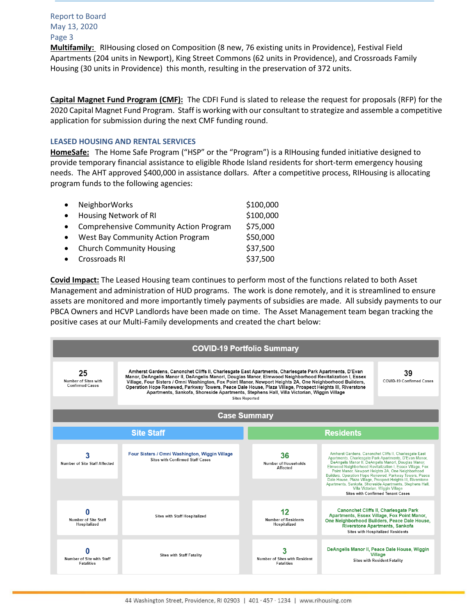**Multifamily:** RIHousing closed on Composition (8 new, 76 existing units in Providence), Festival Field Apartments (204 units in Newport), King Street Commons (62 units in Providence), and Crossroads Family Housing (30 units in Providence) this month, resulting in the preservation of 372 units.

**Capital Magnet Fund Program (CMF):** The CDFI Fund is slated to release the request for proposals (RFP) for the 2020 Capital Magnet Fund Program. Staff is working with our consultant to strategize and assemble a competitive application for submission during the next CMF funding round.

#### **LEASED HOUSING AND RENTAL SERVICES**

**HomeSafe:** The Home Safe Program ("HSP" or the "Program") is a RIHousing funded initiative designed to provide temporary financial assistance to eligible Rhode Island residents for short-term emergency housing needs. The AHT approved \$400,000 in assistance dollars. After a competitive process, RIHousing is allocating program funds to the following agencies:

| <b>NeighborWorks</b>                          | \$100,000 |
|-----------------------------------------------|-----------|
| Housing Network of RI                         | \$100,000 |
| <b>Comprehensive Community Action Program</b> | \$75,000  |
| <b>West Bay Community Action Program</b>      | \$50,000  |
| <b>Church Community Housing</b>               | \$37,500  |
| Crossroads RI                                 | \$37,500  |

**Covid Impact:** The Leased Housing team continues to perform most of the functions related to both Asset Management and administration of HUD programs. The work is done remotely, and it is streamlined to ensure assets are monitored and more importantly timely payments of subsidies are made. All subsidy payments to our PBCA Owners and HCVP Landlords have been made on time. The Asset Management team began tracking the positive cases at our Multi-Family developments and created the chart below:

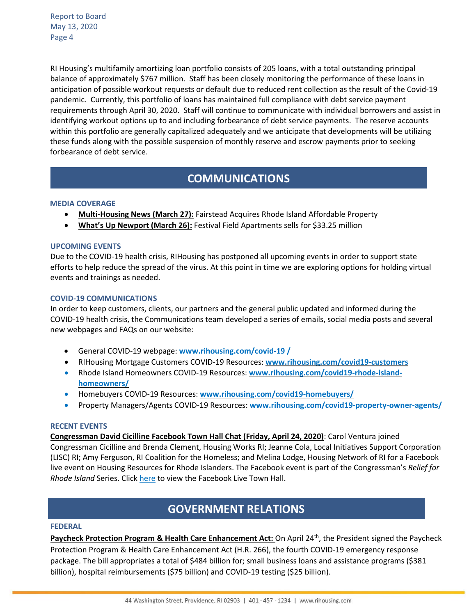RI Housing's multifamily amortizing loan portfolio consists of 205 loans, with a total outstanding principal balance of approximately \$767 million. Staff has been closely monitoring the performance of these loans in anticipation of possible workout requests or default due to reduced rent collection as the result of the Covid-19 pandemic. Currently, this portfolio of loans has maintained full compliance with debt service payment requirements through April 30, 2020. Staff will continue to communicate with individual borrowers and assist in identifying workout options up to and including forbearance of debt service payments. The reserve accounts within this portfolio are generally capitalized adequately and we anticipate that developments will be utilizing these funds along with the possible suspension of monthly reserve and escrow payments prior to seeking forbearance of debt service.

# **COMMUNICATIONS**

#### **MEDIA COVERAGE**

- **Multi-Housing News (March 27):** Fairstead Acquires Rhode Island Affordable Property
- **What's Up Newport (March 26):** Festival Field Apartments sells for \$33.25 million

#### **UPCOMING EVENTS**

Due to the COVID-19 health crisis, RIHousing has postponed all upcoming events in order to support state efforts to help reduce the spread of the virus. At this point in time we are exploring options for holding virtual events and trainings as needed.

#### **COVID-19 COMMUNICATIONS**

In order to keep customers, clients, our partners and the general public updated and informed during the COVID-19 health crisis, the Communications team developed a series of emails, social media posts and several new webpages and FAQs on our website:

- General COVID-19 webpage: **[www.rihousing.com/covid-19](http://www.rihousing.com/covid-19%20/) /**
- RIHousing Mortgage Customers COVID-19 Resources: **[www.rihousing.com/covid19-customers](http://www.rihousing.com/covid19-customers)**
- Rhode Island Homeowners COVID-19 Resources: **[www.rihousing.com/covid19-rhode-island](http://www.rihousing.com/covid19-rhode-island-homeowners/)[homeowners/](http://www.rihousing.com/covid19-rhode-island-homeowners/)**
- Homebuyers COVID-19 Resources: **[www.rihousing.com/covid19-homebuyers/](http://www.rihousing.com/covid19-homebuyers/)**
- Property Managers/Agents COVID-19 Resources: **www.rihousing.com/covid19-property-owner-agents/**

#### **RECENT EVENTS**

**Congressman David Cicilline Facebook Town Hall Chat (Friday, April 24, 2020)**: Carol Ventura joined Congressman Cicilline and Brenda Clement, Housing Works RI; Jeanne Cola, Local Initiatives Support Corporation (LISC) RI; Amy Ferguson, RI Coalition for the Homeless; and Melina Lodge, Housing Network of RI for a Facebook live event on Housing Resources for Rhode Islanders. The Facebook event is part of the Congressman's *Relief for Rhode Island* Series. Click [here](https://www.facebook.com/CongressmanDavidCicilline/videos/1379569582227177/) to view the Facebook Live Town Hall.

# **ERNMENT RELATIONS & PLANTIFUL COMPUTER GOVERNMENT RELATIONS**

#### **FEDERAL**

**Paycheck Protection Program & Health Care Enhancement Act:** On April 24th, the President signed the Paycheck Protection Program & Health Care Enhancement Act (H.R. 266), the fourth COVID-19 emergency response package. The bill appropriates a total of \$484 billion for; small business loans and assistance programs (\$381 billion), hospital reimbursements (\$75 billion) and COVID-19 testing (\$25 billion).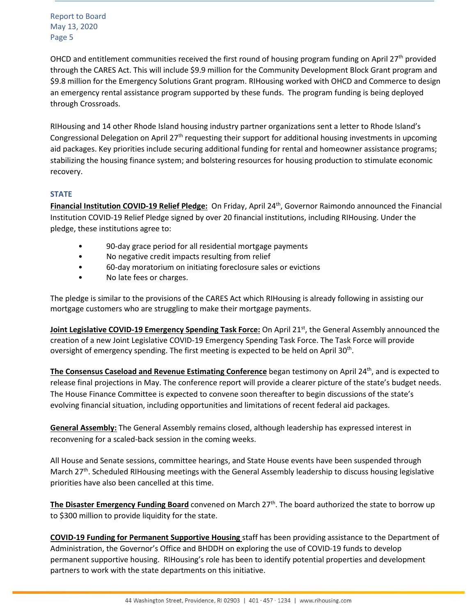OHCD and entitlement communities received the first round of housing program funding on April 27<sup>th</sup> provided through the CARES Act. This will include \$9.9 million for the Community Development Block Grant program and \$9.8 million for the Emergency Solutions Grant program. RIHousing worked with OHCD and Commerce to design an emergency rental assistance program supported by these funds. The program funding is being deployed through Crossroads.

RIHousing and 14 other Rhode Island housing industry partner organizations sent a letter to Rhode Island's Congressional Delegation on April 27<sup>th</sup> requesting their support for additional housing investments in upcoming aid packages. Key priorities include securing additional funding for rental and homeowner assistance programs; stabilizing the housing finance system; and bolstering resources for housing production to stimulate economic recovery.

# **STATE**

**Financial Institution COVID-19 Relief Pledge:** On Friday, April 24th, Governor Raimondo announced the Financial Institution COVID-19 Relief Pledge signed by over 20 financial institutions, including RIHousing. Under the pledge, these institutions agree to:

- 90-day grace period for all residential mortgage payments
- No negative credit impacts resulting from relief
- 60-day moratorium on initiating foreclosure sales or evictions
- No late fees or charges.

The pledge is similar to the provisions of the CARES Act which RIHousing is already following in assisting our mortgage customers who are struggling to make their mortgage payments.

**Joint Legislative COVID-19 Emergency Spending Task Force:** On April 21st, the General Assembly announced the creation of a new Joint Legislative COVID-19 Emergency Spending Task Force. The Task Force will provide oversight of emergency spending. The first meeting is expected to be held on April 30<sup>th</sup>.

**The Consensus Caseload and Revenue Estimating Conference** began testimony on April 24th , and is expected to release final projections in May. The conference report will provide a clearer picture of the state's budget needs. The House Finance Committee is expected to convene soon thereafter to begin discussions of the state's evolving financial situation, including opportunities and limitations of recent federal aid packages.

**General Assembly:** The General Assembly remains closed, although leadership has expressed interest in reconvening for a scaled-back session in the coming weeks.

All House and Senate sessions, committee hearings, and State House events have been suspended through March 27<sup>th</sup>. Scheduled RIHousing meetings with the General Assembly leadership to discuss housing legislative priorities have also been cancelled at this time.

**The Disaster Emergency Funding Board** convened on March 27<sup>th</sup>. The board authorized the state to borrow up to \$300 million to provide liquidity for the state.

**COVID-19 Funding for Permanent Supportive Housing** staff has been providing assistance to the Department of Administration, the Governor's Office and BHDDH on exploring the use of COVID-19 funds to develop permanent supportive housing. RIHousing's role has been to identify potential properties and development partners to work with the state departments on this initiative.